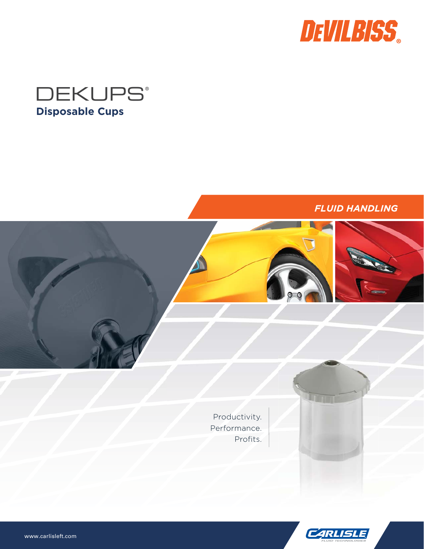



# *FLUID HANDLING*



O

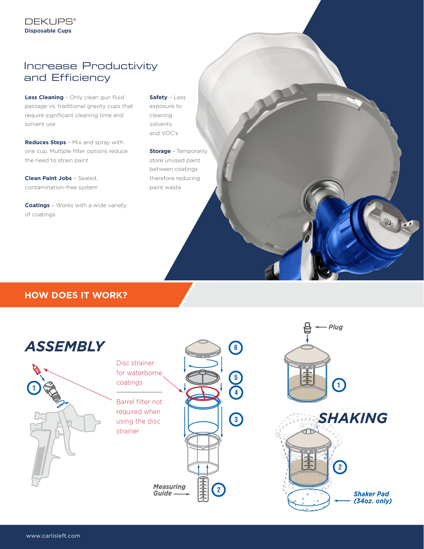# Increase Productivity and Efficiency

**Less Cleaning** – Only clean gun fluid passage vs. traditional gravity cups that require significant cleaning time and solvent use

**Reduces Steps** – Mix and spray with one cup. Multiple filter options reduce the need to strain paint

**Clean Paint Jobs** – Sealed, contamination-free system

**Coatings** – Works with a wide variety of coatings

**Safety** – Less exposure to cleaning solvents and VOC's

**Storage** – Temporarily store unused paint between coatings therefore reducing paint waste

## **HOW DOES IT WORK?**

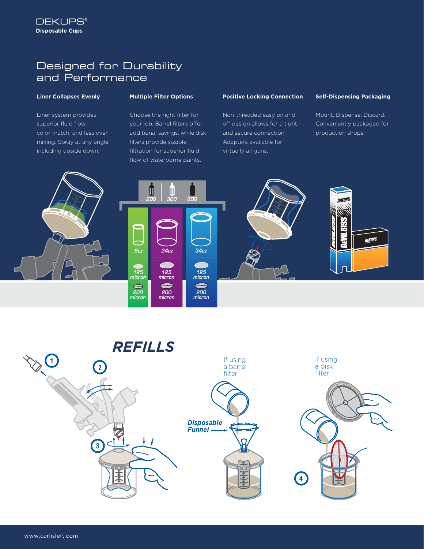# Designed for Durability and Performance

#### **Liner Collapses Evenly**

Liner system provides superior fluid flow, color match, and less over mixing. Spray at any angle including upside down.

#### **Multiple Filter Options**

Choose the right filter for your job. Barrel filters offer additional savings, while disk filters provide sizable filtration for superior fluid flow of waterborne paints.

#### **Positive Locking Connection**

Non-threaded easy on and off design allows for a tight and secure connection. Adapters available for virtually all guns.

#### **Self-Dispensing Packaging**

Mount. Dispense. Discard. Conveniently packaged for production shops.